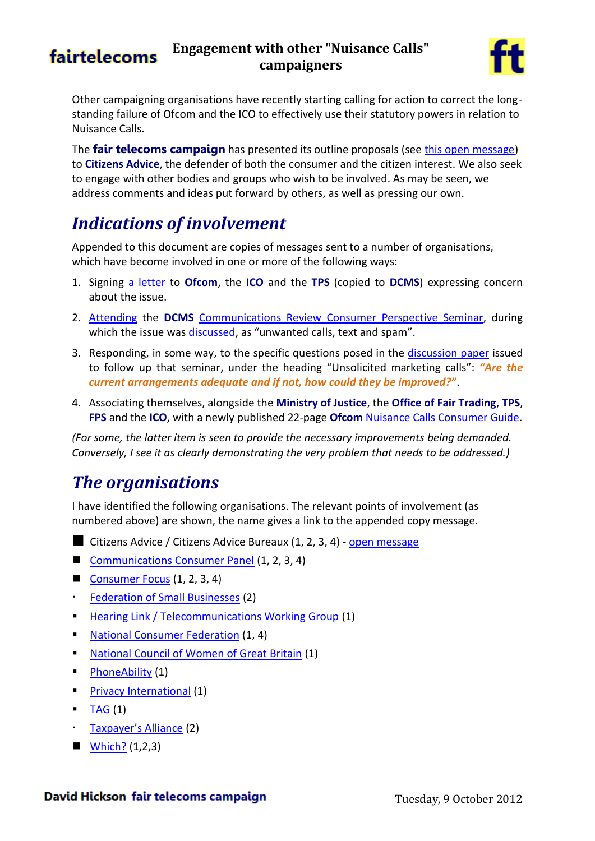## fairtelecoms

### **Engagement with other "Nuisance Calls" campaigners**



Other campaigning organisations have recently starting calling for action to correct the longstanding failure of Ofcom and the ICO to effectively use their statutory powers in relation to Nuisance Calls.

The **fair telecoms campaign** has presented its outline proposals (se[e this open message\)](http://www.fairtelecoms.org.uk/uploads/1/1/4/5/11456053/nuisance_calls_-_open_message.pdf) to **Citizens Advice**, the defender of both the consumer and the citizen interest. We also seek to engage with other bodies and groups who wish to be involved. As may be seen, we address comments and ideas put forward by others, as well as pressing our own.

## *Indications of involvement*

Appended to this document are copies of messages sent to a number of organisations, which have become involved in one or more of the following ways:

- 1. Signing [a letter](http://www.communicationsconsumerpanel.org.uk/TPS.pdf) to **Ofcom**, the **ICO** and the **TPS** (copied to **DCMS**) expressing concern about the issue.
- 2. [Attending](http://dcmscommsreview.readandcomment.com/consumers/consumer-perspective-seminar-attendees/) the **DCMS** [Communications Review Consumer Perspective Seminar,](http://dcmscommsreview.readandcomment.com/consumers/) during which the issue wa[s discussed](http://dcmscommsreview.readandcomment.com/wp-content/uploads/2012/08/DCMS_THECONSUMERPERSPECTIVESEMINAR_120807.pdf#page=51), as "unwanted calls, text and spam".
- 3. Responding, in some way, to the specific questions posed in the [discussion paper](http://dcmscommsreview.readandcomment.com/wp-content/uploads/2012/06/seminar1_consumers_paper_alt.pdf#page=6) issued to follow up that seminar, under the heading "Unsolicited marketing calls": *"Are the current arrangements adequate and if not, how could they be improved?"*.
- 4. Associating themselves, alongside the **Ministry of Justice**, the **Office of Fair Trading**, **TPS**, **FPS** and the **ICO**, with a newly published 22-page **Ofcom** [Nuisance Calls Consumer Guide.](http://consumers.ofcom.org.uk/files/2012/09/all-guides-small.pdf)

*(For some, the latter item is seen to provide the necessary improvements being demanded. Conversely, I see it as clearly demonstrating the very problem that needs to be addressed.)*

## *The organisations*

I have identified the following organisations. The relevant points of involvement (as numbered above) are shown, the name gives a link to the appended copy message.

- Citizens Advice / Citizens Advice Bureaux (1, 2, 3, 4) [open message](http://www.fairtelecoms.org.uk/uploads/1/1/4/5/11456053/nuisance_calls_-_open_message.pdf)
- [Communications Consumer Panel](#page-1-0) (1, 2, 3, 4)
- [Consumer Focus](#page-2-0) (1, 2, 3, 4)
- [Federation of Small Businesses](#page-9-0) (2)
- **[Hearing Link / Telecommunications Working Group](#page-8-0) (1)**
- **[National Consumer Federation](#page-7-0) (1, 4)**
- **[National Council of Women of Great Britain](#page-8-0) (1)**
- $\blacksquare$  [PhoneAbility](#page-8-0) (1)
- **[Privacy International](#page-8-0) (1)**
- [TAG](#page-8-0) (1)
- [Taxpayer's Alliance](#page-9-0) (2)
- $W\left(1,2,3\right)$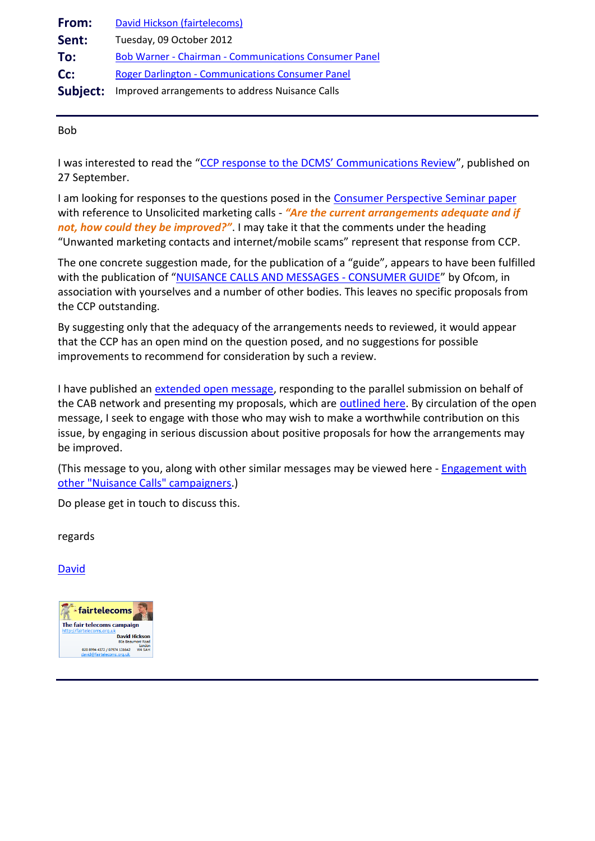<span id="page-1-0"></span>

| From: | David Hickson (fairtelecoms)                                    |
|-------|-----------------------------------------------------------------|
| Sent: | Tuesday, 09 October 2012                                        |
| To:   | <b>Bob Warner - Chairman - Communications Consumer Panel</b>    |
| Cc:   | <b>Roger Darlington - Communications Consumer Panel</b>         |
|       | <b>Subject:</b> Improved arrangements to address Nuisance Calls |

Bob

I was interested to read the ["CCP response to the DCMS' Communications Review"](http://www.communicationsconsumerpanel.org.uk/CCP%20Response%20to%20Comms%20Review%20Sept%202012%20.pdf), published on 27 September.

I am looking for responses to the questions posed in the [Consumer Perspective Seminar paper](http://dcmscommsreview.readandcomment.com/wp-content/uploads/2012/06/seminar1_consumers_paper_alt.pdf#page=6) with reference to Unsolicited marketing calls - "Are the current arrangements adequate and if *not, how could they be improved?"*. I may take it that the comments under the heading "Unwanted marketing contacts and internet/mobile scams" represent that response from CCP.

The one concrete suggestion made, for the publication of a "guide", appears to have been fulfilled with the publication of "[NUISANCE CALLS AND MESSAGES -](http://consumers.ofcom.org.uk/files/2012/09/all-guides-small.pdf) CONSUMER GUIDE" by Ofcom, in association with yourselves and a number of other bodies. This leaves no specific proposals from the CCP outstanding.

By suggesting only that the adequacy of the arrangements needs to reviewed, it would appear that the CCP has an open mind on the question posed, and no suggestions for possible improvements to recommend for consideration by such a review.

I have published an [extended open message,](http://www.fairtelecoms.org.uk/uploads/1/1/4/5/11456053/nuisance_calls_-_open_message.pdf) responding to the parallel submission on behalf of the CAB network and presenting my proposals, which are [outlined here.](http://www.fairtelecoms.org.uk/uploads/1/1/4/5/11456053/nuisance_calls_-_outline_proposal.pdf) By circulation of the open message, I seek to engage with those who may wish to make a worthwhile contribution on this issue, by engaging in serious discussion about positive proposals for how the arrangements may be improved.

(This message to you, along with other similar messages may be viewed here - [Engagement with](http://www.fairtelecoms.org.uk/uploads/1/1/4/5/11456053/nuisance_calls_-_other_campaigners.pdf)  [other "Nuisance Calls" campaigners.](http://www.fairtelecoms.org.uk/uploads/1/1/4/5/11456053/nuisance_calls_-_other_campaigners.pdf))

Do please get in touch to discuss this.

regards

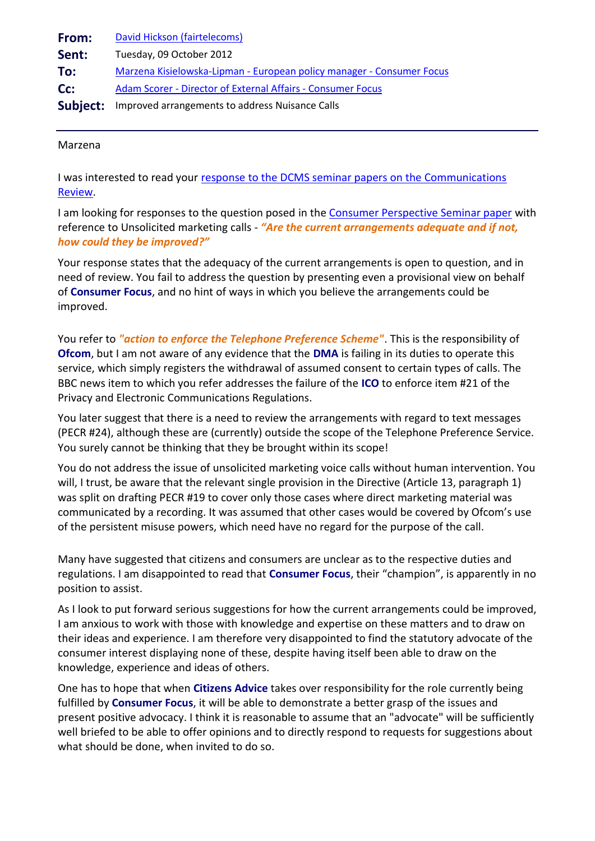<span id="page-2-0"></span>

| From:    | David Hickson (fairtelecoms)                                          |
|----------|-----------------------------------------------------------------------|
| Sent:    | Tuesday, 09 October 2012                                              |
| To:      | Marzena Kisielowska-Lipman - European policy manager - Consumer Focus |
| Cc:      | <b>Adam Scorer - Director of External Affairs - Consumer Focus</b>    |
| Subject: | Improved arrangements to address Nuisance Calls                       |

### Marzena

I was interested to read your response to the DCMS seminar papers on the Communications [Review.](http://www.consumerfocus.org.uk/files/2009/06/Consumer-Focus-response-to-the-DCMS-seminar-papers-on-the-Communications-Review.pdf)

I am looking for responses to the question posed in the [Consumer Perspective Seminar paper](http://dcmscommsreview.readandcomment.com/wp-content/uploads/2012/06/seminar1_consumers_paper_alt.pdf#page=6) with reference to Unsolicited marketing calls - *"Are the current arrangements adequate and if not, how could they be improved?"*

Your response states that the adequacy of the current arrangements is open to question, and in need of review. You fail to address the question by presenting even a provisional view on behalf of **Consumer Focus**, and no hint of ways in which you believe the arrangements could be improved.

You refer to *"action to enforce the Telephone Preference Scheme"*. This is the responsibility of **Ofcom**, but I am not aware of any evidence that the **DMA** is failing in its duties to operate this service, which simply registers the withdrawal of assumed consent to certain types of calls. The BBC news item to which you refer addresses the failure of the **ICO** to enforce item #21 of the Privacy and Electronic Communications Regulations.

You later suggest that there is a need to review the arrangements with regard to text messages (PECR #24), although these are (currently) outside the scope of the Telephone Preference Service. You surely cannot be thinking that they be brought within its scope!

You do not address the issue of unsolicited marketing voice calls without human intervention. You will, I trust, be aware that the relevant single provision in the Directive (Article 13, paragraph 1) was split on drafting PECR #19 to cover only those cases where direct marketing material was communicated by a recording. It was assumed that other cases would be covered by Ofcom's use of the persistent misuse powers, which need have no regard for the purpose of the call.

Many have suggested that citizens and consumers are unclear as to the respective duties and regulations. I am disappointed to read that **Consumer Focus**, their "champion", is apparently in no position to assist.

As I look to put forward serious suggestions for how the current arrangements could be improved, I am anxious to work with those with knowledge and expertise on these matters and to draw on their ideas and experience. I am therefore very disappointed to find the statutory advocate of the consumer interest displaying none of these, despite having itself been able to draw on the knowledge, experience and ideas of others.

One has to hope that when **Citizens Advice** takes over responsibility for the role currently being fulfilled by **Consumer Focus**, it will be able to demonstrate a better grasp of the issues and present positive advocacy. I think it is reasonable to assume that an "advocate" will be sufficiently well briefed to be able to offer opinions and to directly respond to requests for suggestions about what should be done, when invited to do so.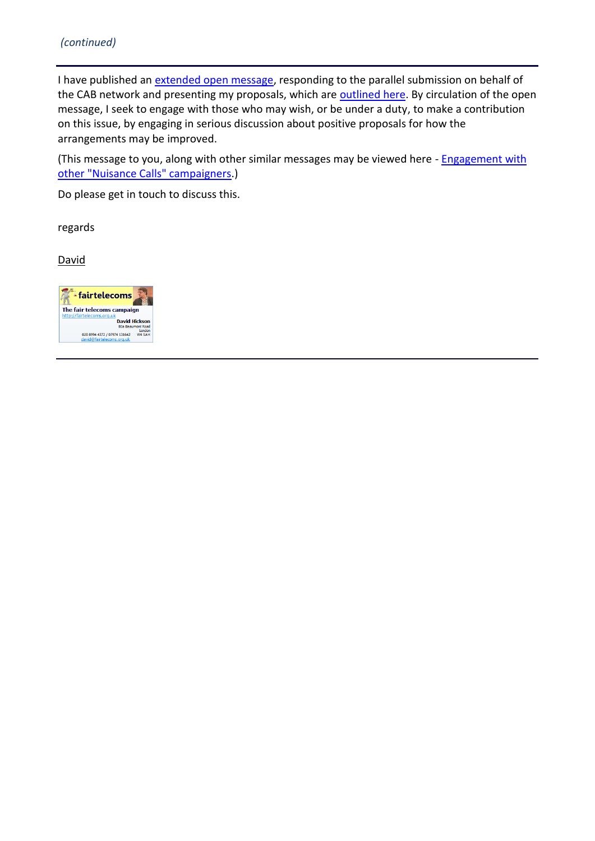I have published an [extended open message,](http://www.fairtelecoms.org.uk/uploads/1/1/4/5/11456053/nuisance_calls_-_open_message.pdf) responding to the parallel submission on behalf of the CAB network and presenting my proposals, which are **outlined here**. By circulation of the open message, I seek to engage with those who may wish, or be under a duty, to make a contribution on this issue, by engaging in serious discussion about positive proposals for how the arrangements may be improved.

(This message to you, along with other similar messages may be viewed here - Engagement with [other "Nuisance Calls" campaigners.](http://www.fairtelecoms.org.uk/uploads/1/1/4/5/11456053/nuisance_calls_-_other_campaigners.pdf))

Do please get in touch to discuss this.

regards

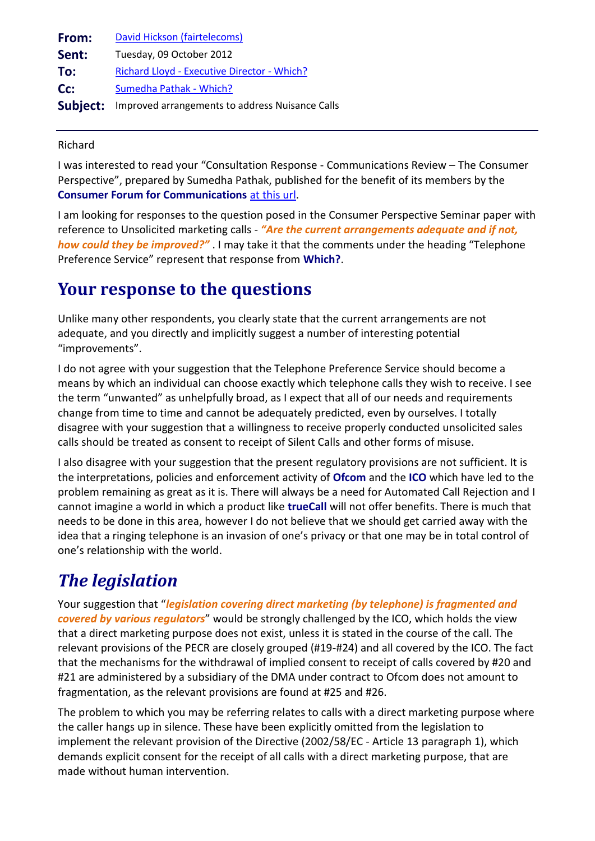<span id="page-4-0"></span>

| From:    | David Hickson (fairtelecoms)                    |
|----------|-------------------------------------------------|
| Sent:    | Tuesday, 09 October 2012                        |
| To:      | Richard Lloyd - Executive Director - Which?     |
| Cc:      | Sumedha Pathak - Which?                         |
| Subject: | Improved arrangements to address Nuisance Calls |

Richard

I was interested to read your "Consultation Response - Communications Review – The Consumer Perspective", prepared by Sumedha Pathak, published for the benefit of its members by the **Consumer Forum for Communications** [at this url.](http://ofcomconsumerforum.groupsite.com/file_cabinet/187489)

I am looking for responses to the question posed in the Consumer Perspective Seminar paper with reference to Unsolicited marketing calls - *"Are the current arrangements adequate and if not, how could they be improved?"* . I may take it that the comments under the heading "Telephone Preference Service" represent that response from **Which?**.

## **Your response to the questions**

Unlike many other respondents, you clearly state that the current arrangements are not adequate, and you directly and implicitly suggest a number of interesting potential "improvements".

I do not agree with your suggestion that the Telephone Preference Service should become a means by which an individual can choose exactly which telephone calls they wish to receive. I see the term "unwanted" as unhelpfully broad, as I expect that all of our needs and requirements change from time to time and cannot be adequately predicted, even by ourselves. I totally disagree with your suggestion that a willingness to receive properly conducted unsolicited sales calls should be treated as consent to receipt of Silent Calls and other forms of misuse.

I also disagree with your suggestion that the present regulatory provisions are not sufficient. It is the interpretations, policies and enforcement activity of **Ofcom** and the **ICO** which have led to the problem remaining as great as it is. There will always be a need for Automated Call Rejection and I cannot imagine a world in which a product like **trueCall** will not offer benefits. There is much that needs to be done in this area, however I do not believe that we should get carried away with the idea that a ringing telephone is an invasion of one's privacy or that one may be in total control of one's relationship with the world.

# *The legislation*

Your suggestion that "*legislation covering direct marketing (by telephone) is fragmented and covered by various regulators*" would be strongly challenged by the ICO, which holds the view that a direct marketing purpose does not exist, unless it is stated in the course of the call. The relevant provisions of the PECR are closely grouped (#19-#24) and all covered by the ICO. The fact that the mechanisms for the withdrawal of implied consent to receipt of calls covered by #20 and #21 are administered by a subsidiary of the DMA under contract to Ofcom does not amount to fragmentation, as the relevant provisions are found at #25 and #26.

The problem to which you may be referring relates to calls with a direct marketing purpose where the caller hangs up in silence. These have been explicitly omitted from the legislation to implement the relevant provision of the Directive (2002/58/EC - Article 13 paragraph 1), which demands explicit consent for the receipt of all calls with a direct marketing purpose, that are made without human intervention.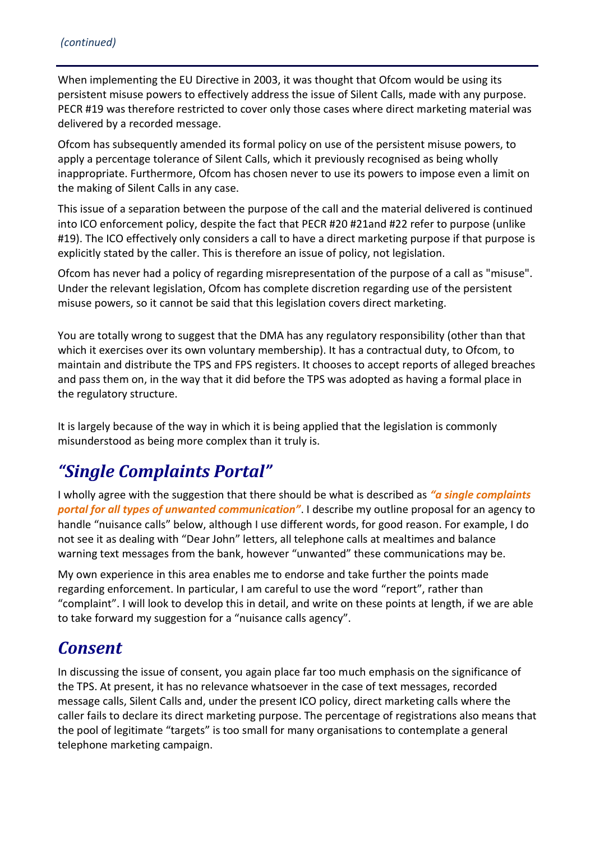When implementing the EU Directive in 2003, it was thought that Ofcom would be using its persistent misuse powers to effectively address the issue of Silent Calls, made with any purpose. PECR #19 was therefore restricted to cover only those cases where direct marketing material was delivered by a recorded message.

Ofcom has subsequently amended its formal policy on use of the persistent misuse powers, to apply a percentage tolerance of Silent Calls, which it previously recognised as being wholly inappropriate. Furthermore, Ofcom has chosen never to use its powers to impose even a limit on the making of Silent Calls in any case.

This issue of a separation between the purpose of the call and the material delivered is continued into ICO enforcement policy, despite the fact that PECR #20 #21and #22 refer to purpose (unlike #19). The ICO effectively only considers a call to have a direct marketing purpose if that purpose is explicitly stated by the caller. This is therefore an issue of policy, not legislation.

Ofcom has never had a policy of regarding misrepresentation of the purpose of a call as "misuse". Under the relevant legislation, Ofcom has complete discretion regarding use of the persistent misuse powers, so it cannot be said that this legislation covers direct marketing.

You are totally wrong to suggest that the DMA has any regulatory responsibility (other than that which it exercises over its own voluntary membership). It has a contractual duty, to Ofcom, to maintain and distribute the TPS and FPS registers. It chooses to accept reports of alleged breaches and pass them on, in the way that it did before the TPS was adopted as having a formal place in the regulatory structure.

It is largely because of the way in which it is being applied that the legislation is commonly misunderstood as being more complex than it truly is.

## *"Single Complaints Portal"*

I wholly agree with the suggestion that there should be what is described as *"a single complaints portal for all types of unwanted communication"*. I describe my outline proposal for an agency to handle "nuisance calls" below, although I use different words, for good reason. For example, I do not see it as dealing with "Dear John" letters, all telephone calls at mealtimes and balance warning text messages from the bank, however "unwanted" these communications may be.

My own experience in this area enables me to endorse and take further the points made regarding enforcement. In particular, I am careful to use the word "report", rather than "complaint". I will look to develop this in detail, and write on these points at length, if we are able to take forward my suggestion for a "nuisance calls agency".

## *Consent*

In discussing the issue of consent, you again place far too much emphasis on the significance of the TPS. At present, it has no relevance whatsoever in the case of text messages, recorded message calls, Silent Calls and, under the present ICO policy, direct marketing calls where the caller fails to declare its direct marketing purpose. The percentage of registrations also means that the pool of legitimate "targets" is too small for many organisations to contemplate a general telephone marketing campaign.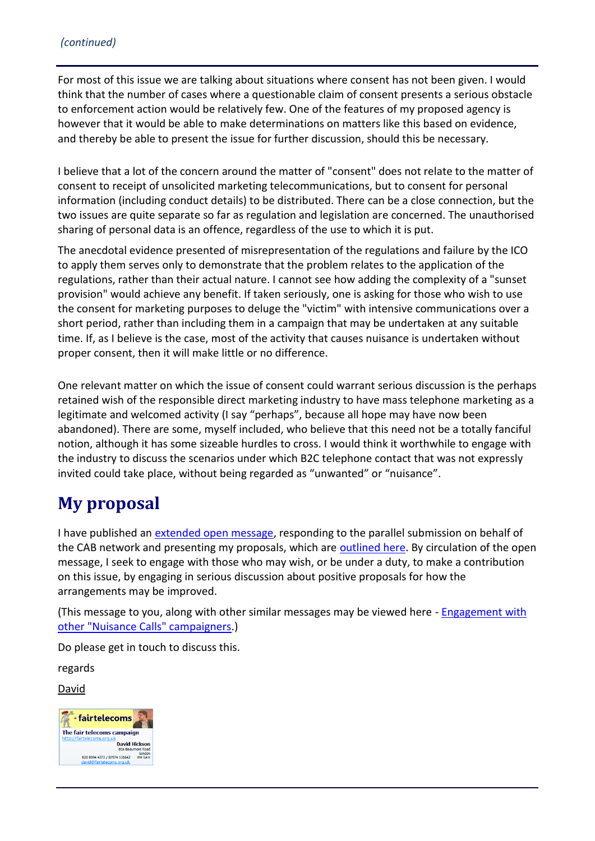For most of this issue we are talking about situations where consent has not been given. I would think that the number of cases where a questionable claim of consent presents a serious obstacle to enforcement action would be relatively few. One of the features of my proposed agency is however that it would be able to make determinations on matters like this based on evidence, and thereby be able to present the issue for further discussion, should this be necessary.

I believe that a lot of the concern around the matter of "consent" does not relate to the matter of consent to receipt of unsolicited marketing telecommunications, but to consent for personal information (including conduct details) to be distributed. There can be a close connection, but the two issues are quite separate so far as regulation and legislation are concerned. The unauthorised sharing of personal data is an offence, regardless of the use to which it is put.

The anecdotal evidence presented of misrepresentation of the regulations and failure by the ICO to apply them serves only to demonstrate that the problem relates to the application of the regulations, rather than their actual nature. I cannot see how adding the complexity of a "sunset provision" would achieve any benefit. If taken seriously, one is asking for those who wish to use the consent for marketing purposes to deluge the "victim" with intensive communications over a short period, rather than including them in a campaign that may be undertaken at any suitable time. If, as I believe is the case, most of the activity that causes nuisance is undertaken without proper consent, then it will make little or no difference.

One relevant matter on which the issue of consent could warrant serious discussion is the perhaps retained wish of the responsible direct marketing industry to have mass telephone marketing as a legitimate and welcomed activity (I say "perhaps", because all hope may have now been abandoned). There are some, myself included, who believe that this need not be a totally fanciful notion, although it has some sizeable hurdles to cross. I would think it worthwhile to engage with the industry to discuss the scenarios under which B2C telephone contact that was not expressly invited could take place, without being regarded as "unwanted" or "nuisance".

## **My proposal**

I have published an [extended open message,](http://www.fairtelecoms.org.uk/uploads/1/1/4/5/11456053/nuisance_calls_-_open_message.pdf) responding to the parallel submission on behalf of the CAB network and presenting my proposals, which are **outlined here**. By circulation of the open message, I seek to engage with those who may wish, or be under a duty, to make a contribution on this issue, by engaging in serious discussion about positive proposals for how the arrangements may be improved.

(This message to you, along with other similar messages may be viewed here - [Engagement with](http://www.fairtelecoms.org.uk/uploads/1/1/4/5/11456053/nuisance_calls_-_other_campaigners.pdf)  [other "Nuisance Calls" campaigners.](http://www.fairtelecoms.org.uk/uploads/1/1/4/5/11456053/nuisance_calls_-_other_campaigners.pdf))

Do please get in touch to discuss this.

regards

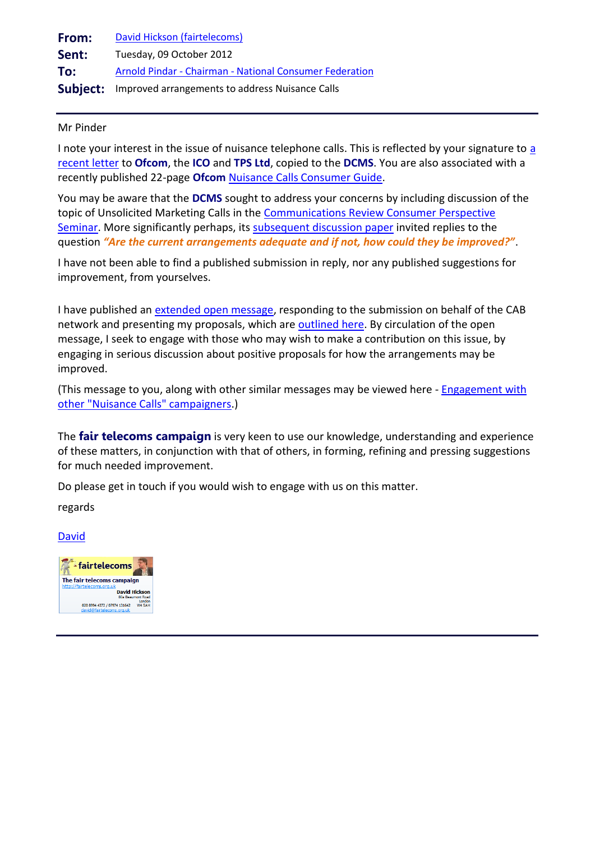<span id="page-7-0"></span>

| From: | David Hickson (fairtelecoms)                                    |
|-------|-----------------------------------------------------------------|
| Sent: | Tuesday, 09 October 2012                                        |
| To:   | Arnold Pindar - Chairman - National Consumer Federation         |
|       | <b>Subject:</b> Improved arrangements to address Nuisance Calls |

### Mr Pinder

I note your interest in the issue of nuisance telephone calls. This is reflected by your signature to [a](http://www.communicationsconsumerpanel.org.uk/TPS.pdf)  [recent letter](http://www.communicationsconsumerpanel.org.uk/TPS.pdf) to **Ofcom**, the **ICO** and **TPS Ltd**, copied to the **DCMS**. You are also associated with a recently published 22-page **Ofcom** [Nuisance Calls Consumer Guide.](http://consumers.ofcom.org.uk/files/2012/09/all-guides-small.pdf)

You may be aware that the **DCMS** sought to address your concerns by including discussion of the topic of Unsolicited Marketing Calls in the [Communications Review Consumer Perspective](http://dcmscommsreview.readandcomment.com/consumers/)  [Seminar.](http://dcmscommsreview.readandcomment.com/consumers/) More significantly perhaps, its [subsequent discussion paper](http://dcmscommsreview.readandcomment.com/wp-content/uploads/2012/06/seminar1_consumers_paper_alt.pdf#page=6) invited replies to the question *"Are the current arrangements adequate and if not, how could they be improved?"*.

I have not been able to find a published submission in reply, nor any published suggestions for improvement, from yourselves.

I have published an [extended open message,](http://www.fairtelecoms.org.uk/uploads/1/1/4/5/11456053/nuisance_calls_-_open_message.pdf) responding to the submission on behalf of the CAB network and presenting my proposals, which are [outlined here.](http://www.fairtelecoms.org.uk/uploads/1/1/4/5/11456053/nuisance_calls_-_outline_proposal.pdf) By circulation of the open message, I seek to engage with those who may wish to make a contribution on this issue, by engaging in serious discussion about positive proposals for how the arrangements may be improved.

(This message to you, along with other similar messages may be viewed here - [Engagement with](http://www.fairtelecoms.org.uk/uploads/1/1/4/5/11456053/nuisance_calls_-_other_campaigners.pdf)  [other "Nuisance Calls" campaigners.](http://www.fairtelecoms.org.uk/uploads/1/1/4/5/11456053/nuisance_calls_-_other_campaigners.pdf))

The **fair telecoms campaign** is very keen to use our knowledge, understanding and experience of these matters, in conjunction with that of others, in forming, refining and pressing suggestions for much needed improvement.

Do please get in touch if you would wish to engage with us on this matter.

regards

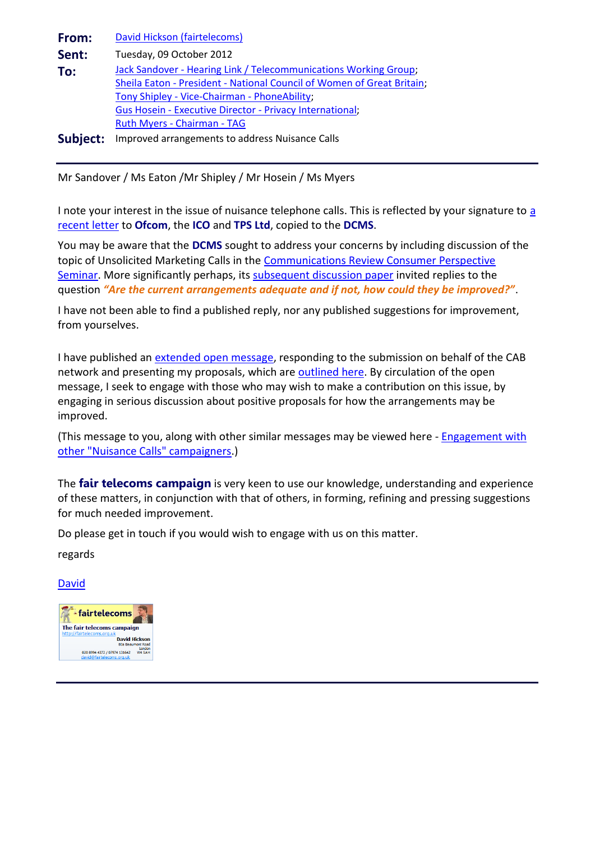<span id="page-8-0"></span>

| From:    | David Hickson (fairtelecoms)                                                                                                               |
|----------|--------------------------------------------------------------------------------------------------------------------------------------------|
| Sent:    | Tuesday, 09 October 2012                                                                                                                   |
| To:      | Jack Sandover - Hearing Link / Telecommunications Working Group;<br>Sheila Eaton - President - National Council of Women of Great Britain; |
|          | Tony Shipley - Vice-Chairman - PhoneAbility;                                                                                               |
|          | Gus Hosein - Executive Director - Privacy International;                                                                                   |
|          | Ruth Myers - Chairman - TAG                                                                                                                |
| Subject: | Improved arrangements to address Nuisance Calls                                                                                            |

Mr Sandover / Ms Eaton /Mr Shipley / Mr Hosein / Ms Myers

I note your interest in the issue of nuisance telephone calls. This is reflected by your signature to a [recent letter](http://www.communicationsconsumerpanel.org.uk/TPS.pdf) to **Ofcom**, the **ICO** and **TPS Ltd**, copied to the **DCMS**.

You may be aware that the **DCMS** sought to address your concerns by including discussion of the topic of Unsolicited Marketing Calls in the [Communications Review Consumer Perspective](http://dcmscommsreview.readandcomment.com/consumers/)  [Seminar.](http://dcmscommsreview.readandcomment.com/consumers/) More significantly perhaps, its [subsequent discussion paper](http://dcmscommsreview.readandcomment.com/wp-content/uploads/2012/06/seminar1_consumers_paper_alt.pdf#page=6) invited replies to the question *"Are the current arrangements adequate and if not, how could they be improved?"*.

I have not been able to find a published reply, nor any published suggestions for improvement, from yourselves.

I have published an [extended open message,](http://www.fairtelecoms.org.uk/uploads/1/1/4/5/11456053/nuisance_calls_-_open_message.pdf) responding to the submission on behalf of the CAB network and presenting my proposals, which are [outlined here.](http://www.fairtelecoms.org.uk/uploads/1/1/4/5/11456053/nuisance_calls_-_outline_proposal.pdf) By circulation of the open message, I seek to engage with those who may wish to make a contribution on this issue, by engaging in serious discussion about positive proposals for how the arrangements may be improved.

(This message to you, along with other similar messages may be viewed here - [Engagement with](http://www.fairtelecoms.org.uk/uploads/1/1/4/5/11456053/nuisance_calls_-_other_campaigners.pdf)  [other "Nuisance Calls" campaigners.](http://www.fairtelecoms.org.uk/uploads/1/1/4/5/11456053/nuisance_calls_-_other_campaigners.pdf))

The **fair telecoms campaign** is very keen to use our knowledge, understanding and experience of these matters, in conjunction with that of others, in forming, refining and pressing suggestions for much needed improvement.

Do please get in touch if you would wish to engage with us on this matter.

regards